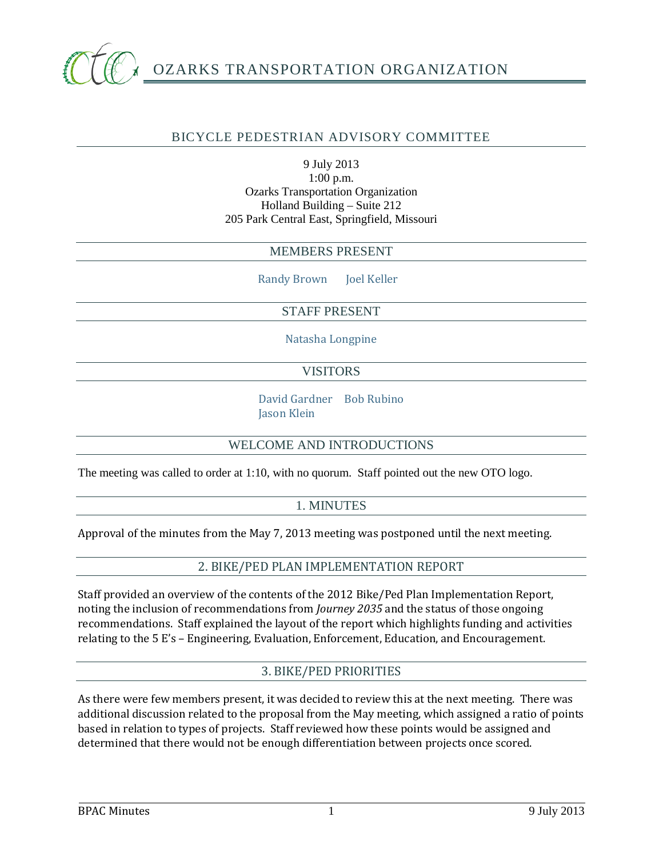

# BICYCLE PEDESTRIAN ADVISORY COMMITTEE

9 July 2013 1:00 p.m. Ozarks Transportation Organization Holland Building – Suite 212 205 Park Central East, Springfield, Missouri

#### MEMBERS PRESENT

Randy Brown Joel Keller

## STAFF PRESENT

Natasha Longpine

## VISITORS

David Gardner Bob Rubino Jason Klein

#### WELCOME AND INTRODUCTIONS

The meeting was called to order at 1:10, with no quorum. Staff pointed out the new OTO logo.

# 1. MINUTES

Approval of the minutes from the May 7, 2013 meeting was postponed until the next meeting.

#### 2. BIKE/PED PLAN IMPLEMENTATION REPORT

Staff provided an overview of the contents of the 2012 Bike/Ped Plan Implementation Report, noting the inclusion of recommendations from *Journey 2035* and the status of those ongoing recommendations. Staff explained the layout of the report which highlights funding and activities relating to the 5 E's – Engineering, Evaluation, Enforcement, Education, and Encouragement.

# 3. BIKE/PED PRIORITIES

As there were few members present, it was decided to review this at the next meeting. There was additional discussion related to the proposal from the May meeting, which assigned a ratio of points based in relation to types of projects. Staff reviewed how these points would be assigned and determined that there would not be enough differentiation between projects once scored.